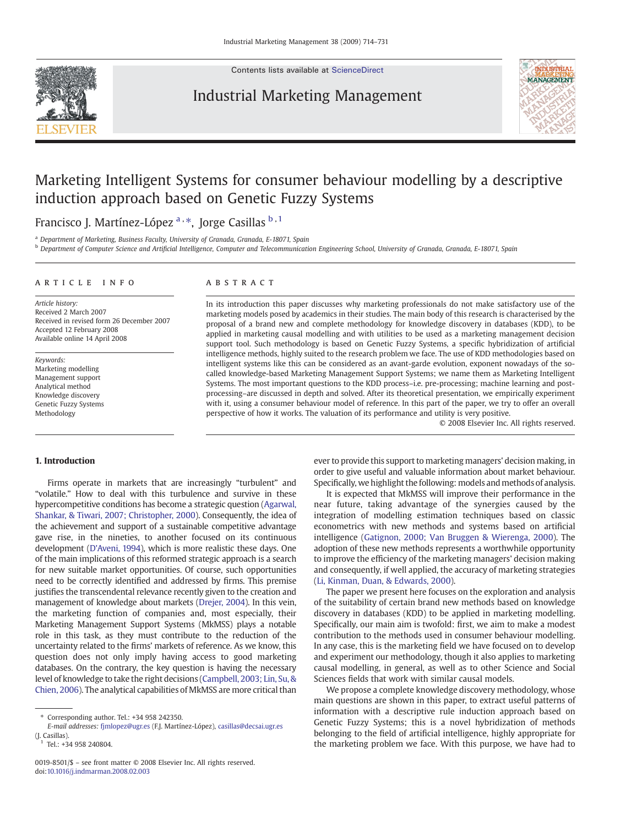

Contents lists available at [ScienceDirect](http://www.sciencedirect.com/science/journal/00198501)

## Industrial Marketing Management



# Marketing Intelligent Systems for consumer behaviour modelling by a descriptive induction approach based on Genetic Fuzzy Systems

Francisco J. Martínez-López <sup>a , \*</sup>, Jorge Casillas <sup>b , 1</sup>

<sup>a</sup> Department of Marketing, Business Faculty, University of Granada, Granada, E-18071, Spain

<sup>b</sup> Department of Computer Science and Artificial Intelligence, Computer and Telecommunication Engineering School, University of Granada, Granada, E-18071, Spain

#### ARTICLE INFO ABSTRACT

Article history: Received 2 March 2007 Received in revised form 26 December 2007 Accepted 12 February 2008 Available online 14 April 2008

Keywords: Marketing modelling Management support Analytical method Knowledge discovery Genetic Fuzzy Systems Methodology

In its introduction this paper discusses why marketing professionals do not make satisfactory use of the marketing models posed by academics in their studies. The main body of this research is characterised by the proposal of a brand new and complete methodology for knowledge discovery in databases (KDD), to be applied in marketing causal modelling and with utilities to be used as a marketing management decision support tool. Such methodology is based on Genetic Fuzzy Systems, a specific hybridization of artificial intelligence methods, highly suited to the research problem we face. The use of KDD methodologies based on intelligent systems like this can be considered as an avant-garde evolution, exponent nowadays of the socalled knowledge-based Marketing Management Support Systems; we name them as Marketing Intelligent Systems. The most important questions to the KDD process–i.e. pre-processing; machine learning and postprocessing–are discussed in depth and solved. After its theoretical presentation, we empirically experiment with it, using a consumer behaviour model of reference. In this part of the paper, we try to offer an overall perspective of how it works. The valuation of its performance and utility is very positive.

© 2008 Elsevier Inc. All rights reserved.

#### 1. Introduction

Firms operate in markets that are increasingly "turbulent" and "volatile." How to deal with this turbulence and survive in these hypercompetitive conditions has become a strategic question ([Agarwal,](#page--1-0) [Shankar, & Tiwari, 2007; Christopher, 2000\)](#page--1-0). Consequently, the idea of the achievement and support of a sustainable competitive advantage gave rise, in the nineties, to another focused on its continuous development [\(D'Aveni, 1994\)](#page--1-0), which is more realistic these days. One of the main implications of this reformed strategic approach is a search for new suitable market opportunities. Of course, such opportunities need to be correctly identified and addressed by firms. This premise justifies the transcendental relevance recently given to the creation and management of knowledge about markets [\(Drejer, 2004](#page--1-0)). In this vein, the marketing function of companies and, most especially, their Marketing Management Support Systems (MkMSS) plays a notable role in this task, as they must contribute to the reduction of the uncertainty related to the firms' markets of reference. As we know, this question does not only imply having access to good marketing databases. On the contrary, the key question is having the necessary level of knowledge to take the right decisions ([Campbell, 2003; Lin, Su, &](#page--1-0) [Chien, 2006\)](#page--1-0). The analytical capabilities of MkMSS are more critical than

ever to provide this support to marketing managers' decision making, in order to give useful and valuable information about market behaviour. Specifically, we highlight the following: models and methods of analysis.

It is expected that MkMSS will improve their performance in the near future, taking advantage of the synergies caused by the integration of modelling estimation techniques based on classic econometrics with new methods and systems based on artificial intelligence ([Gatignon, 2000; Van Bruggen & Wierenga, 2000](#page--1-0)). The adoption of these new methods represents a worthwhile opportunity to improve the efficiency of the marketing managers' decision making and consequently, if well applied, the accuracy of marketing strategies ([Li, Kinman, Duan, & Edwards, 2000](#page--1-0)).

The paper we present here focuses on the exploration and analysis of the suitability of certain brand new methods based on knowledge discovery in databases (KDD) to be applied in marketing modelling. Specifically, our main aim is twofold: first, we aim to make a modest contribution to the methods used in consumer behaviour modelling. In any case, this is the marketing field we have focused on to develop and experiment our methodology, though it also applies to marketing causal modelling, in general, as well as to other Science and Social Sciences fields that work with similar causal models.

We propose a complete knowledge discovery methodology, whose main questions are shown in this paper, to extract useful patterns of information with a descriptive rule induction approach based on Genetic Fuzzy Systems; this is a novel hybridization of methods belonging to the field of artificial intelligence, highly appropriate for the marketing problem we face. With this purpose, we have had to

<sup>⁎</sup> Corresponding author. Tel.: +34 958 242350.

E-mail addresses: [fjmlopez@ugr.es](mailto:fjmlopez@ugr.es) (F.J. Martínez-López), [casillas@decsai.ugr.es](mailto:casillas@decsai.ugr.es) (J. Casillas).

 $1$  Tel.: +34 958 240804.

<sup>0019-8501/\$</sup> – see front matter © 2008 Elsevier Inc. All rights reserved. doi[:10.1016/j.indmarman.2008.02.003](http://dx.doi.org/10.1016/j.indmarman.2008.02.003)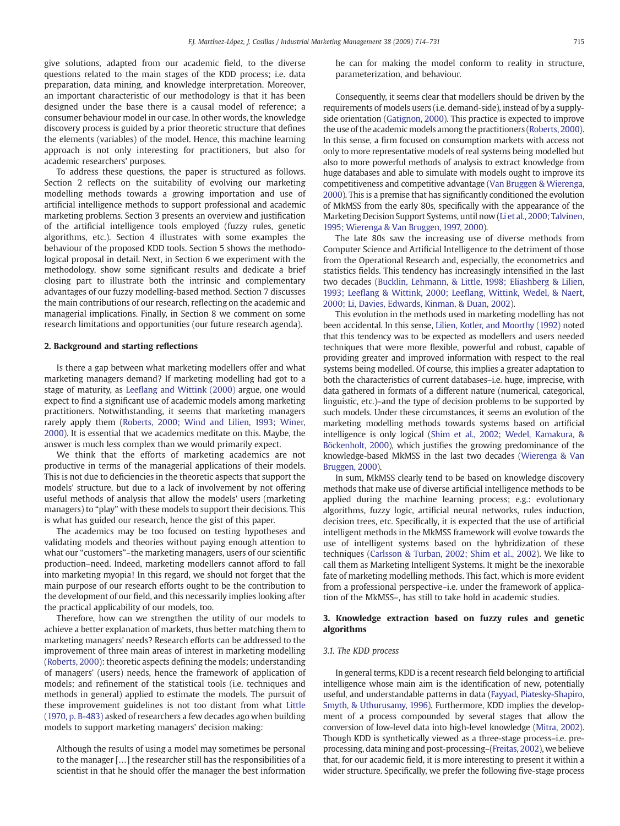give solutions, adapted from our academic field, to the diverse questions related to the main stages of the KDD process; i.e. data preparation, data mining, and knowledge interpretation. Moreover, an important characteristic of our methodology is that it has been designed under the base there is a causal model of reference; a consumer behaviour model in our case. In other words, the knowledge discovery process is guided by a prior theoretic structure that defines the elements (variables) of the model. Hence, this machine learning approach is not only interesting for practitioners, but also for academic researchers' purposes.

To address these questions, the paper is structured as follows. Section 2 reflects on the suitability of evolving our marketing modelling methods towards a growing importation and use of artificial intelligence methods to support professional and academic marketing problems. Section 3 presents an overview and justification of the artificial intelligence tools employed (fuzzy rules, genetic algorithms, etc.). Section 4 illustrates with some examples the behaviour of the proposed KDD tools. Section 5 shows the methodological proposal in detail. Next, in Section 6 we experiment with the methodology, show some significant results and dedicate a brief closing part to illustrate both the intrinsic and complementary advantages of our fuzzy modelling-based method. Section 7 discusses the main contributions of our research, reflecting on the academic and managerial implications. Finally, in Section 8 we comment on some research limitations and opportunities (our future research agenda).

#### 2. Background and starting reflections

Is there a gap between what marketing modellers offer and what marketing managers demand? If marketing modelling had got to a stage of maturity, as Leefl[ang and Wittink \(2000\)](#page--1-0) argue, one would expect to find a significant use of academic models among marketing practitioners. Notwithstanding, it seems that marketing managers rarely apply them [\(Roberts, 2000; Wind and Lilien, 1993; Winer,](#page--1-0) [2000](#page--1-0)). It is essential that we academics meditate on this. Maybe, the answer is much less complex than we would primarily expect.

We think that the efforts of marketing academics are not productive in terms of the managerial applications of their models. This is not due to deficiencies in the theoretic aspects that support the models' structure, but due to a lack of involvement by not offering useful methods of analysis that allow the models' users (marketing managers) to "play" with these models to support their decisions. This is what has guided our research, hence the gist of this paper.

The academics may be too focused on testing hypotheses and validating models and theories without paying enough attention to what our "customers"–the marketing managers, users of our scientific production–need. Indeed, marketing modellers cannot afford to fall into marketing myopia! In this regard, we should not forget that the main purpose of our research efforts ought to be the contribution to the development of our field, and this necessarily implies looking after the practical applicability of our models, too.

Therefore, how can we strengthen the utility of our models to achieve a better explanation of markets, thus better matching them to marketing managers' needs? Research efforts can be addressed to the improvement of three main areas of interest in marketing modelling [\(Roberts, 2000](#page--1-0)): theoretic aspects defining the models; understanding of managers' (users) needs, hence the framework of application of models; and refinement of the statistical tools (i.e. techniques and methods in general) applied to estimate the models. The pursuit of these improvement guidelines is not too distant from what [Little](#page--1-0) [\(1970, p. B-483\)](#page--1-0) asked of researchers a few decades ago when building models to support marketing managers' decision making:

Although the results of using a model may sometimes be personal to the manager […] the researcher still has the responsibilities of a scientist in that he should offer the manager the best information

he can for making the model conform to reality in structure, parameterization, and behaviour.

Consequently, it seems clear that modellers should be driven by the requirements of models users (i.e. demand-side), instead of by a supplyside orientation ([Gatignon, 2000](#page--1-0)). This practice is expected to improve the use of the academic models among the practitioners ([Roberts, 2000\)](#page--1-0). In this sense, a firm focused on consumption markets with access not only to more representative models of real systems being modelled but also to more powerful methods of analysis to extract knowledge from huge databases and able to simulate with models ought to improve its competitiveness and competitive advantage ([Van Bruggen & Wierenga,](#page--1-0) [2000\)](#page--1-0). This is a premise that has significantly conditioned the evolution of MkMSS from the early 80s, specifically with the appearance of the Marketing Decision Support Systems, until now [\(Li et al., 2000; Talvinen,](#page--1-0) [1995; Wierenga & Van Bruggen, 1997, 2000](#page--1-0)).

The late 80s saw the increasing use of diverse methods from Computer Science and Artificial Intelligence to the detriment of those from the Operational Research and, especially, the econometrics and statistics fields. This tendency has increasingly intensified in the last two decades [\(Bucklin, Lehmann, & Little, 1998; Eliashberg & Lilien,](#page--1-0) 1993; Leeflang & Wittink, 2000; Leefl[ang, Wittink, Wedel, & Naert,](#page--1-0) [2000; Li, Davies, Edwards, Kinman, & Duan, 2002\)](#page--1-0).

This evolution in the methods used in marketing modelling has not been accidental. In this sense, [Lilien, Kotler, and Moorthy \(1992\)](#page--1-0) noted that this tendency was to be expected as modellers and users needed techniques that were more flexible, powerful and robust, capable of providing greater and improved information with respect to the real systems being modelled. Of course, this implies a greater adaptation to both the characteristics of current databases–i.e. huge, imprecise, with data gathered in formats of a different nature (numerical, categorical, linguistic, etc.)–and the type of decision problems to be supported by such models. Under these circumstances, it seems an evolution of the marketing modelling methods towards systems based on artificial intelligence is only logical [\(Shim et al., 2002; Wedel, Kamakura, &](#page--1-0) [Böckenholt, 2000\)](#page--1-0), which justifies the growing predominance of the knowledge-based MkMSS in the last two decades ([Wierenga & Van](#page--1-0) [Bruggen, 2000](#page--1-0)).

In sum, MkMSS clearly tend to be based on knowledge discovery methods that make use of diverse artificial intelligence methods to be applied during the machine learning process; e.g.: evolutionary algorithms, fuzzy logic, artificial neural networks, rules induction, decision trees, etc. Specifically, it is expected that the use of artificial intelligent methods in the MkMSS framework will evolve towards the use of intelligent systems based on the hybridization of these techniques ([Carlsson & Turban, 2002; Shim et al., 2002](#page--1-0)). We like to call them as Marketing Intelligent Systems. It might be the inexorable fate of marketing modelling methods. This fact, which is more evident from a professional perspective–i.e. under the framework of application of the MkMSS–, has still to take hold in academic studies.

### 3. Knowledge extraction based on fuzzy rules and genetic algorithms

#### 3.1. The KDD process

In general terms, KDD is a recent research field belonging to artificial intelligence whose main aim is the identification of new, potentially useful, and understandable patterns in data ([Fayyad, Piatesky-Shapiro,](#page--1-0) [Smyth, & Uthurusamy, 1996](#page--1-0)). Furthermore, KDD implies the development of a process compounded by several stages that allow the conversion of low-level data into high-level knowledge [\(Mitra, 2002\)](#page--1-0). Though KDD is synthetically viewed as a three-stage process–i.e. preprocessing, data mining and post-processing–[\(Freitas, 2002\)](#page--1-0), we believe that, for our academic field, it is more interesting to present it within a wider structure. Specifically, we prefer the following five-stage process